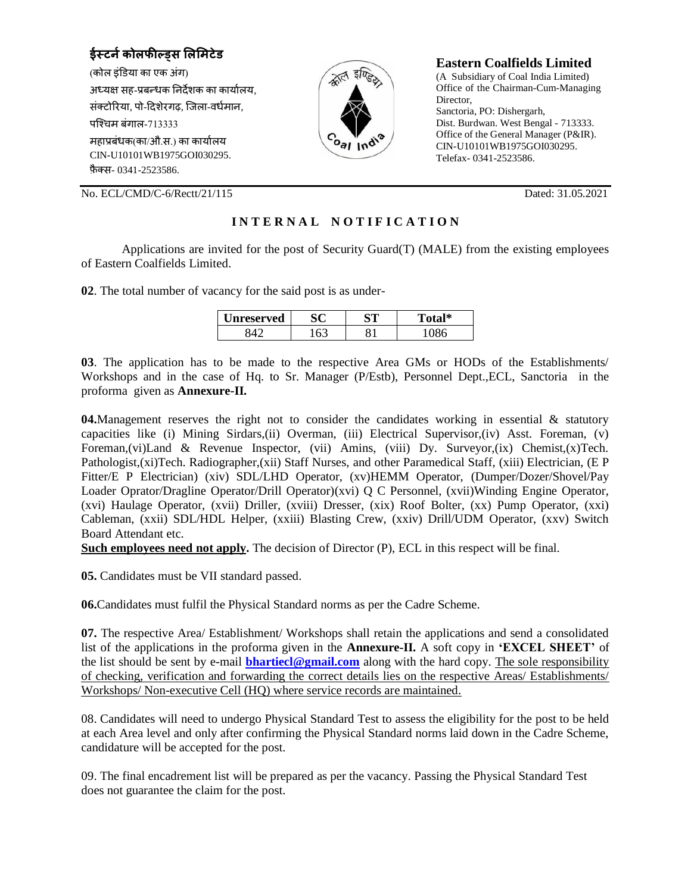**ईस्टर्नकोलफील्ड्स लललिटेड** (कोल इंडिया का एक अंग) अध्यक्ष सह-प्रबन्धक निर्देशक का कार्यालय, संक्टोरिया, पो-दिशेरगढ़, जिला-वर्धमान, पजचिम बंगाल-713333 महाप्रबंधक(का/औ.स.) का कायाालय CIN-U10101WB1975GOI030295. फ़ै क्स- 0341-2523586.



## **Eastern Coalfields Limited**

(A Subsidiary of Coal India Limited) Office of the Chairman-Cum-Managing Director, Sanctoria, PO: Dishergarh, Dist. Burdwan. West Bengal - 713333. Office of the General Manager (P&IR). CIN-U10101WB1975GOI030295. Telefax- 0341-2523586.

No. ECL/CMD/C-6/Rectt/21/115 Dated: 31.05.2021

# **I N T E R N A L N O T I F I C A T I O N**

Applications are invited for the post of Security Guard(T) (MALE) from the existing employees of Eastern Coalfields Limited.

**02**. The total number of vacancy for the said post is as under-

| <b>nreserved</b> | $\sim$ | αm | $\mathbf{1}$ |
|------------------|--------|----|--------------|
|                  |        |    |              |

**03**. The application has to be made to the respective Area GMs or HODs of the Establishments/ Workshops and in the case of Hq. to Sr. Manager (P/Estb), Personnel Dept.,ECL, Sanctoria in the proforma given as **Annexure-II.**

**04.**Management reserves the right not to consider the candidates working in essential & statutory capacities like (i) Mining Sirdars,(ii) Overman, (iii) Electrical Supervisor,(iv) Asst. Foreman, (v) Foreman,(vi)Land & Revenue Inspector, (vii) Amins, (viii) Dy. Surveyor,(ix) Chemist,(x)Tech. Pathologist,(xi)Tech. Radiographer,(xii) Staff Nurses, and other Paramedical Staff, (xiii) Electrician, (E P Fitter/E P Electrician) (xiv) SDL/LHD Operator, (xv)HEMM Operator, (Dumper/Dozer/Shovel/Pay Loader Oprator/Dragline Operator/Drill Operator)(xvi) Q C Personnel, (xvii)Winding Engine Operator, (xvi) Haulage Operator, (xvii) Driller, (xviii) Dresser, (xix) Roof Bolter, (xx) Pump Operator, (xxi) Cableman, (xxii) SDL/HDL Helper, (xxiii) Blasting Crew, (xxiv) Drill/UDM Operator, (xxv) Switch Board Attendant etc.

**Such employees need not apply.** The decision of Director (P), ECL in this respect will be final.

**05.** Candidates must be VII standard passed.

**06.**Candidates must fulfil the Physical Standard norms as per the Cadre Scheme.

**07.** The respective Area/ Establishment/ Workshops shall retain the applications and send a consolidated list of the applications in the proforma given in the **Annexure-II.** A soft copy in **'EXCEL SHEET'** of the list should be sent by e-mail **[bhartiecl@gmail.com](mailto:bhartiecl@gmail.com)** along with the hard copy. The sole responsibility of checking, verification and forwarding the correct details lies on the respective Areas/ Establishments/ Workshops/ Non-executive Cell (HQ) where service records are maintained.

08. Candidates will need to undergo Physical Standard Test to assess the eligibility for the post to be held at each Area level and only after confirming the Physical Standard norms laid down in the Cadre Scheme, candidature will be accepted for the post.

09. The final encadrement list will be prepared as per the vacancy. Passing the Physical Standard Test does not guarantee the claim for the post.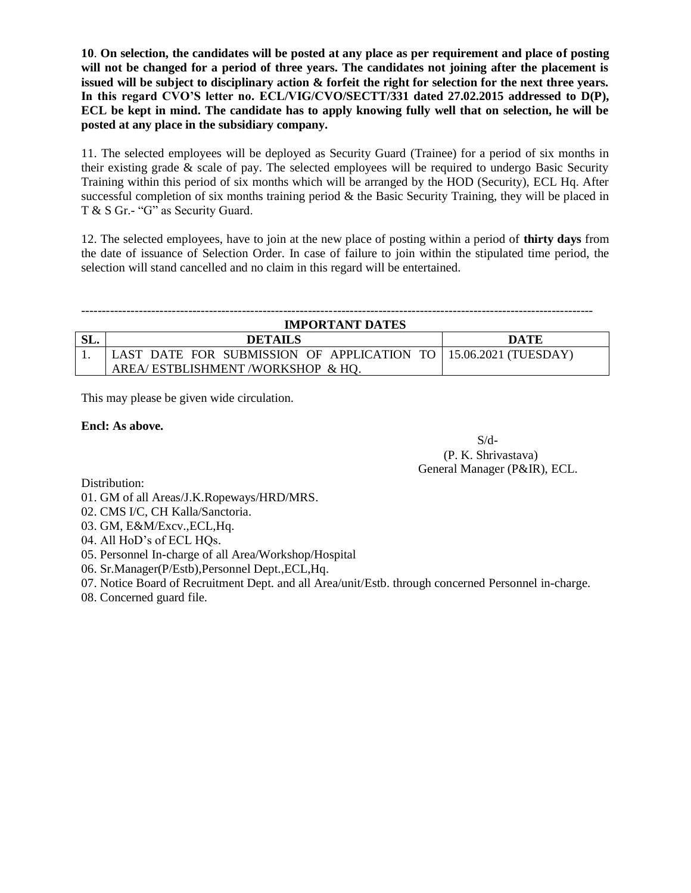**10**. **On selection, the candidates will be posted at any place as per requirement and place of posting will not be changed for a period of three years. The candidates not joining after the placement is issued will be subject to disciplinary action & forfeit the right for selection for the next three years.**  In this regard CVO'S letter no. ECL/VIG/CVO/SECTT/331 dated 27.02.2015 addressed to D(P), **ECL be kept in mind. The candidate has to apply knowing fully well that on selection, he will be posted at any place in the subsidiary company.**

11. The selected employees will be deployed as Security Guard (Trainee) for a period of six months in their existing grade & scale of pay. The selected employees will be required to undergo Basic Security Training within this period of six months which will be arranged by the HOD (Security), ECL Hq. After successful completion of six months training period  $\&$  the Basic Security Training, they will be placed in T & S Gr.- "G" as Security Guard.

12. The selected employees, have to join at the new place of posting within a period of **thirty days** from the date of issuance of Selection Order. In case of failure to join within the stipulated time period, the selection will stand cancelled and no claim in this regard will be entertained.

#### ---------------------------------------------------------------------------------------------------------------------------- **IMPORTANT DATES**

| IMPORTANT DATES |                                                                   |      |  |  |  |  |
|-----------------|-------------------------------------------------------------------|------|--|--|--|--|
|                 | <b>DETAILS</b>                                                    | DATE |  |  |  |  |
|                 | LAST DATE FOR SUBMISSION OF APPLICATION TO   15.06.2021 (TUESDAY) |      |  |  |  |  |
|                 | AREA/ESTBLISHMENT/WORKSHOP & HO.                                  |      |  |  |  |  |

This may please be given wide circulation.

### **Encl: As above.**

 $S/d$ - (P. K. Shrivastava) General Manager (P&IR), ECL.

Distribution:

- 01. GM of all Areas/J.K.Ropeways/HRD/MRS.
- 02. CMS I/C, CH Kalla/Sanctoria.
- 03. GM, E&M/Excv.,ECL,Hq.
- 04. All HoD's of ECL HQs.
- 05. Personnel In-charge of all Area/Workshop/Hospital
- 06. Sr.Manager(P/Estb),Personnel Dept.,ECL,Hq.
- 07. Notice Board of Recruitment Dept. and all Area/unit/Estb. through concerned Personnel in-charge.
- 08. Concerned guard file.